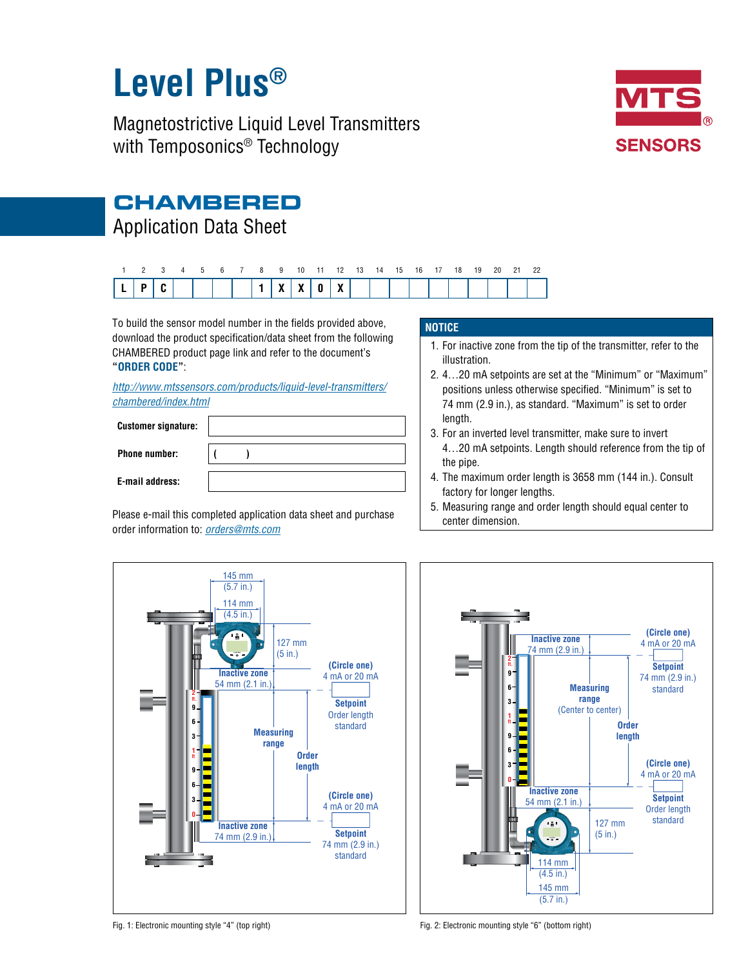# **Level Plus®**

Magnetostrictive Liquid Level Transmitters with Temposonics<sup>®</sup> Technology



## **CHAMBERED**

## Application Data Sheet



To build the sensor model number in the fields provided above, download the product specification/data sheet from the following CHAMBERED product page link and refer to the document's **"ORDER CODE"**:

*http://www.mtssensors.com/products/liquid-level-transmitters/ chambered/index.html*

| <b>Customer signature:</b> |  |  |  |  |
|----------------------------|--|--|--|--|
| <b>Phone number:</b>       |  |  |  |  |
| E-mail address:            |  |  |  |  |

Please e-mail this completed application data sheet and purchase order information to: *[orders@mts.com](mailto:orders%40mts.com?subject=Purchase%20Order%20Information)*

#### **NOTICE**

- 1. For inactive zone from the tip of the transmitter, refer to the illustration.
- 2. 4…20 mA setpoints are set at the "Minimum" or "Maximum" positions unless otherwise specified. "Minimum" is set to 74 mm (2.9 in.), as standard. "Maximum" is set to order length.
- 3. For an inverted level transmitter, make sure to invert 4…20 mA setpoints. Length should reference from the tip of the pipe.
- 4. The maximum order length is 3658 mm (144 in.). Consult factory for longer lengths.
- 5. Measuring range and order length should equal center to center dimension.





Fig. 1: Electronic mounting style "4" (top right) Fig. 2: Electronic mounting style "6" (bottom right)